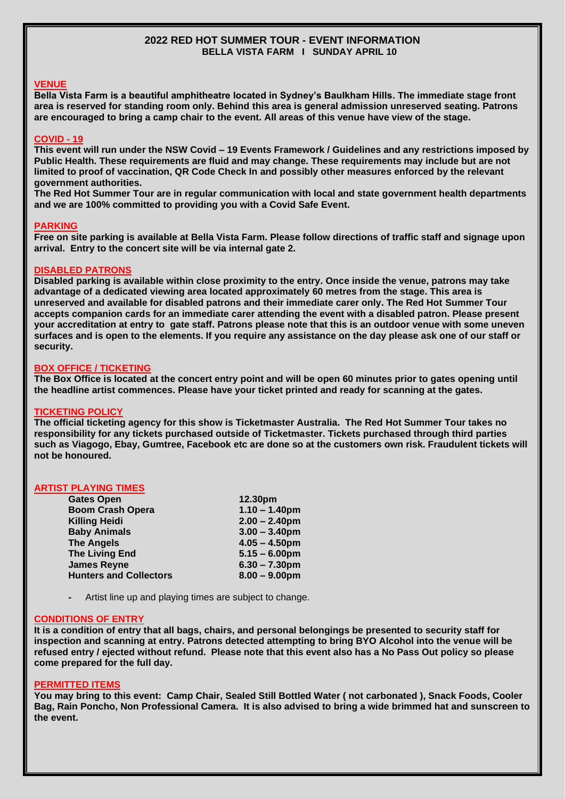## **2022 RED HOT SUMMER TOUR - EVENT INFORMATION BELLA VISTA FARM I SUNDAY APRIL 10**

# **VENUE**

**Bella Vista Farm is a beautiful amphitheatre located in Sydney's Baulkham Hills. The immediate stage front area is reserved for standing room only. Behind this area is general admission unreserved seating. Patrons are encouraged to bring a camp chair to the event. All areas of this venue have view of the stage.**

#### **COVID - 19**

**This event will run under the NSW Covid – 19 Events Framework / Guidelines and any restrictions imposed by Public Health. These requirements are fluid and may change. These requirements may include but are not limited to proof of vaccination, QR Code Check In and possibly other measures enforced by the relevant government authorities.**

**The Red Hot Summer Tour are in regular communication with local and state government health departments and we are 100% committed to providing you with a Covid Safe Event.** 

#### **PARKING**

**Free on site parking is available at Bella Vista Farm. Please follow directions of traffic staff and signage upon arrival. Entry to the concert site will be via internal gate 2.**

#### **DISABLED PATRONS**

**Disabled parking is available within close proximity to the entry. Once inside the venue, patrons may take advantage of a dedicated viewing area located approximately 60 metres from the stage. This area is unreserved and available for disabled patrons and their immediate carer only. The Red Hot Summer Tour accepts companion cards for an immediate carer attending the event with a disabled patron. Please present your accreditation at entry to gate staff. Patrons please note that this is an outdoor venue with some uneven surfaces and is open to the elements. If you require any assistance on the day please ask one of our staff or security.**

#### **BOX OFFICE / TICKETING**

**The Box Office is located at the concert entry point and will be open 60 minutes prior to gates opening until the headline artist commences. Please have your ticket printed and ready for scanning at the gates.** 

# **TICKETING POLICY**

**The official ticketing agency for this show is Ticketmaster Australia. The Red Hot Summer Tour takes no responsibility for any tickets purchased outside of Ticketmaster. Tickets purchased through third parties such as Viagogo, Ebay, Gumtree, Facebook etc are done so at the customers own risk. Fraudulent tickets will not be honoured.**

#### **ARTIST PLAYING TIMES**

| <b>Gates Open</b>             | 12.30pm          |
|-------------------------------|------------------|
| <b>Boom Crash Opera</b>       | $1.10 - 1.40$ pm |
| <b>Killing Heidi</b>          | $2.00 - 2.40$ pm |
| <b>Baby Animals</b>           | $3.00 - 3.40$ pm |
| <b>The Angels</b>             | $4.05 - 4.50$ pm |
| <b>The Living End</b>         | $5.15 - 6.00$ pm |
| <b>James Reyne</b>            | $6.30 - 7.30$ pm |
| <b>Hunters and Collectors</b> | $8.00 - 9.00$ pm |
|                               |                  |

**-** Artist line up and playing times are subject to change.

#### **CONDITIONS OF ENTRY**

**It is a condition of entry that all bags, chairs, and personal belongings be presented to security staff for inspection and scanning at entry. Patrons detected attempting to bring BYO Alcohol into the venue will be refused entry / ejected without refund. Please note that this event also has a No Pass Out policy so please come prepared for the full day.**

#### **PERMITTED ITEMS**

**You may bring to this event: Camp Chair, Sealed Still Bottled Water ( not carbonated ), Snack Foods, Cooler Bag, Rain Poncho, Non Professional Camera. It is also advised to bring a wide brimmed hat and sunscreen to the event.**